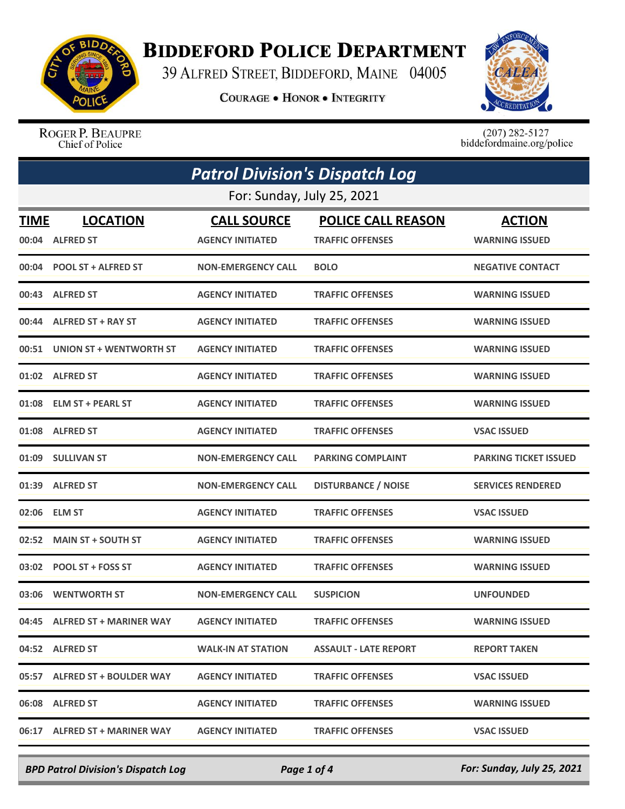

## **BIDDEFORD POLICE DEPARTMENT**

39 ALFRED STREET, BIDDEFORD, MAINE 04005

**COURAGE . HONOR . INTEGRITY** 



ROGER P. BEAUPRE Chief of Police

 $(207)$  282-5127<br>biddefordmaine.org/police

| <b>Patrol Division's Dispatch Log</b> |                                     |                                               |                                                      |                                        |  |  |  |
|---------------------------------------|-------------------------------------|-----------------------------------------------|------------------------------------------------------|----------------------------------------|--|--|--|
| For: Sunday, July 25, 2021            |                                     |                                               |                                                      |                                        |  |  |  |
| TIME<br>00:04                         | <b>LOCATION</b><br><b>ALFRED ST</b> | <b>CALL SOURCE</b><br><b>AGENCY INITIATED</b> | <b>POLICE CALL REASON</b><br><b>TRAFFIC OFFENSES</b> | <b>ACTION</b><br><b>WARNING ISSUED</b> |  |  |  |
| 00:04                                 | <b>POOL ST + ALFRED ST</b>          | <b>NON-EMERGENCY CALL</b>                     | <b>BOLO</b>                                          | <b>NEGATIVE CONTACT</b>                |  |  |  |
| 00:43                                 | <b>ALFRED ST</b>                    | <b>AGENCY INITIATED</b>                       | <b>TRAFFIC OFFENSES</b>                              | <b>WARNING ISSUED</b>                  |  |  |  |
| 00:44                                 | <b>ALFRED ST + RAY ST</b>           | <b>AGENCY INITIATED</b>                       | <b>TRAFFIC OFFENSES</b>                              | <b>WARNING ISSUED</b>                  |  |  |  |
|                                       | 00:51 UNION ST + WENTWORTH ST       | <b>AGENCY INITIATED</b>                       | <b>TRAFFIC OFFENSES</b>                              | <b>WARNING ISSUED</b>                  |  |  |  |
|                                       | 01:02 ALFRED ST                     | <b>AGENCY INITIATED</b>                       | <b>TRAFFIC OFFENSES</b>                              | <b>WARNING ISSUED</b>                  |  |  |  |
|                                       | 01:08 ELM ST + PEARL ST             | <b>AGENCY INITIATED</b>                       | <b>TRAFFIC OFFENSES</b>                              | <b>WARNING ISSUED</b>                  |  |  |  |
| 01:08                                 | <b>ALFRED ST</b>                    | <b>AGENCY INITIATED</b>                       | <b>TRAFFIC OFFENSES</b>                              | <b>VSAC ISSUED</b>                     |  |  |  |
|                                       | 01:09 SULLIVAN ST                   | <b>NON-EMERGENCY CALL</b>                     | <b>PARKING COMPLAINT</b>                             | <b>PARKING TICKET ISSUED</b>           |  |  |  |
|                                       | 01:39 ALFRED ST                     | <b>NON-EMERGENCY CALL</b>                     | <b>DISTURBANCE / NOISE</b>                           | <b>SERVICES RENDERED</b>               |  |  |  |
| 02:06                                 | <b>ELM ST</b>                       | <b>AGENCY INITIATED</b>                       | <b>TRAFFIC OFFENSES</b>                              | <b>VSAC ISSUED</b>                     |  |  |  |
| 02:52                                 | <b>MAIN ST + SOUTH ST</b>           | <b>AGENCY INITIATED</b>                       | <b>TRAFFIC OFFENSES</b>                              | <b>WARNING ISSUED</b>                  |  |  |  |
|                                       | 03:02 POOL ST + FOSS ST             | <b>AGENCY INITIATED</b>                       | <b>TRAFFIC OFFENSES</b>                              | <b>WARNING ISSUED</b>                  |  |  |  |
| 03:06                                 | <b>WENTWORTH ST</b>                 | <b>NON-EMERGENCY CALL</b>                     | <b>SUSPICION</b>                                     | <b>UNFOUNDED</b>                       |  |  |  |
|                                       | 04:45 ALFRED ST + MARINER WAY       | <b>AGENCY INITIATED</b>                       | <b>TRAFFIC OFFENSES</b>                              | <b>WARNING ISSUED</b>                  |  |  |  |
|                                       | 04:52 ALFRED ST                     | <b>WALK-IN AT STATION</b>                     | <b>ASSAULT - LATE REPORT</b>                         | <b>REPORT TAKEN</b>                    |  |  |  |
|                                       | 05:57 ALFRED ST + BOULDER WAY       | <b>AGENCY INITIATED</b>                       | <b>TRAFFIC OFFENSES</b>                              | <b>VSAC ISSUED</b>                     |  |  |  |
|                                       | 06:08 ALFRED ST                     | <b>AGENCY INITIATED</b>                       | <b>TRAFFIC OFFENSES</b>                              | <b>WARNING ISSUED</b>                  |  |  |  |
|                                       | 06:17 ALFRED ST + MARINER WAY       | <b>AGENCY INITIATED</b>                       | <b>TRAFFIC OFFENSES</b>                              | <b>VSAC ISSUED</b>                     |  |  |  |

*BPD Patrol Division's Dispatch Log Page 1 of 4 For: Sunday, July 25, 2021*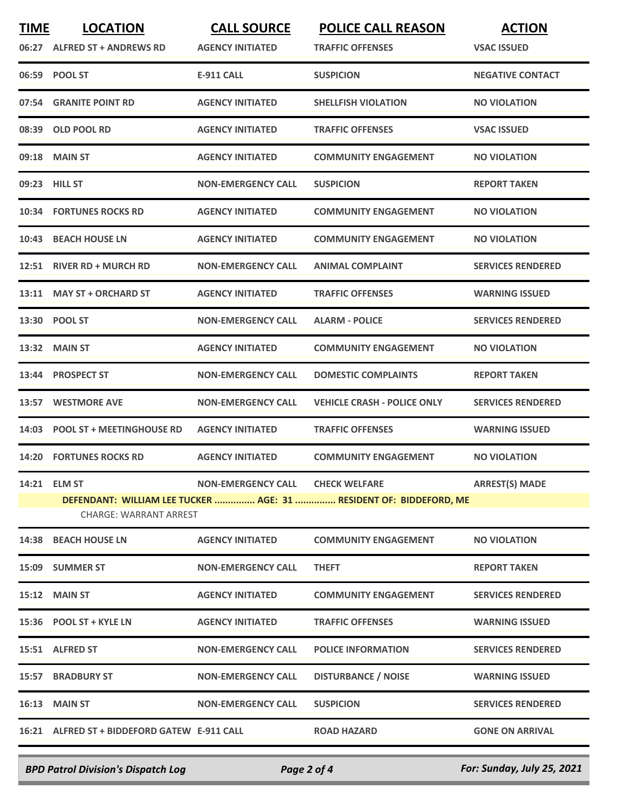| <b>TIME</b> | <b>LOCATION</b>                              | <b>CALL SOURCE</b>               | <b>POLICE CALL REASON</b>                                          | <b>ACTION</b>            |
|-------------|----------------------------------------------|----------------------------------|--------------------------------------------------------------------|--------------------------|
|             | 06:27 ALFRED ST + ANDREWS RD                 | <b>AGENCY INITIATED</b>          | <b>TRAFFIC OFFENSES</b>                                            | <b>VSAC ISSUED</b>       |
|             | 06:59 POOL ST                                | <b>E-911 CALL</b>                | <b>SUSPICION</b>                                                   | <b>NEGATIVE CONTACT</b>  |
| 07:54       | <b>GRANITE POINT RD</b>                      | <b>AGENCY INITIATED</b>          | <b>SHELLFISH VIOLATION</b>                                         | <b>NO VIOLATION</b>      |
| 08:39       | <b>OLD POOL RD</b>                           | <b>AGENCY INITIATED</b>          | <b>TRAFFIC OFFENSES</b>                                            | <b>VSAC ISSUED</b>       |
|             | 09:18 MAIN ST                                | <b>AGENCY INITIATED</b>          | <b>COMMUNITY ENGAGEMENT</b>                                        | <b>NO VIOLATION</b>      |
|             | 09:23 HILL ST                                | <b>NON-EMERGENCY CALL</b>        | <b>SUSPICION</b>                                                   | <b>REPORT TAKEN</b>      |
|             | 10:34 FORTUNES ROCKS RD                      | <b>AGENCY INITIATED</b>          | <b>COMMUNITY ENGAGEMENT</b>                                        | <b>NO VIOLATION</b>      |
| 10:43       | <b>BEACH HOUSE LN</b>                        | <b>AGENCY INITIATED</b>          | <b>COMMUNITY ENGAGEMENT</b>                                        | <b>NO VIOLATION</b>      |
|             | 12:51 RIVER RD + MURCH RD                    | <b>NON-EMERGENCY CALL</b>        | <b>ANIMAL COMPLAINT</b>                                            | <b>SERVICES RENDERED</b> |
|             | 13:11 MAY ST + ORCHARD ST                    | <b>AGENCY INITIATED</b>          | <b>TRAFFIC OFFENSES</b>                                            | <b>WARNING ISSUED</b>    |
|             | 13:30 POOL ST                                | <b>NON-EMERGENCY CALL</b>        | <b>ALARM - POLICE</b>                                              | <b>SERVICES RENDERED</b> |
|             | 13:32 MAIN ST                                | <b>AGENCY INITIATED</b>          | <b>COMMUNITY ENGAGEMENT</b>                                        | <b>NO VIOLATION</b>      |
| 13:44       | <b>PROSPECT ST</b>                           | <b>NON-EMERGENCY CALL</b>        | <b>DOMESTIC COMPLAINTS</b>                                         | <b>REPORT TAKEN</b>      |
| 13:57       | <b>WESTMORE AVE</b>                          | <b>NON-EMERGENCY CALL</b>        | <b>VEHICLE CRASH - POLICE ONLY</b>                                 | <b>SERVICES RENDERED</b> |
| 14:03       | <b>POOL ST + MEETINGHOUSE RD</b>             | <b>AGENCY INITIATED</b>          | <b>TRAFFIC OFFENSES</b>                                            | <b>WARNING ISSUED</b>    |
| 14:20       | <b>FORTUNES ROCKS RD</b>                     | <b>AGENCY INITIATED</b>          | <b>COMMUNITY ENGAGEMENT</b>                                        | <b>NO VIOLATION</b>      |
|             | 14:21 ELM ST                                 | NON-EMERGENCY CALL CHECK WELFARE |                                                                    | <b>ARREST(S) MADE</b>    |
|             | <b>CHARGE: WARRANT ARREST</b>                |                                  | DEFENDANT: WILLIAM LEE TUCKER  AGE: 31  RESIDENT OF: BIDDEFORD, ME |                          |
|             | 14:38 BEACH HOUSE LN                         | <b>AGENCY INITIATED</b>          | <b>COMMUNITY ENGAGEMENT</b>                                        | <b>NO VIOLATION</b>      |
|             | 15:09 SUMMER ST                              | <b>NON-EMERGENCY CALL</b>        | <b>THEFT</b>                                                       | <b>REPORT TAKEN</b>      |
|             | 15:12 MAIN ST                                | <b>AGENCY INITIATED</b>          | <b>COMMUNITY ENGAGEMENT</b>                                        | <b>SERVICES RENDERED</b> |
|             | 15:36 POOL ST + KYLE LN                      | <b>AGENCY INITIATED</b>          | <b>TRAFFIC OFFENSES</b>                                            | <b>WARNING ISSUED</b>    |
|             | 15:51 ALFRED ST                              | <b>NON-EMERGENCY CALL</b>        | <b>POLICE INFORMATION</b>                                          | <b>SERVICES RENDERED</b> |
|             | <b>15:57 BRADBURY ST</b>                     | <b>NON-EMERGENCY CALL</b>        | <b>DISTURBANCE / NOISE</b>                                         | <b>WARNING ISSUED</b>    |
|             | <b>16:13 MAIN ST</b>                         | <b>NON-EMERGENCY CALL</b>        | <b>SUSPICION</b>                                                   | <b>SERVICES RENDERED</b> |
|             | 16:21 ALFRED ST + BIDDEFORD GATEW E-911 CALL |                                  | <b>ROAD HAZARD</b>                                                 | <b>GONE ON ARRIVAL</b>   |
|             |                                              |                                  |                                                                    |                          |

*BPD Patrol Division's Dispatch Log Page 2 of 4 For: Sunday, July 25, 2021*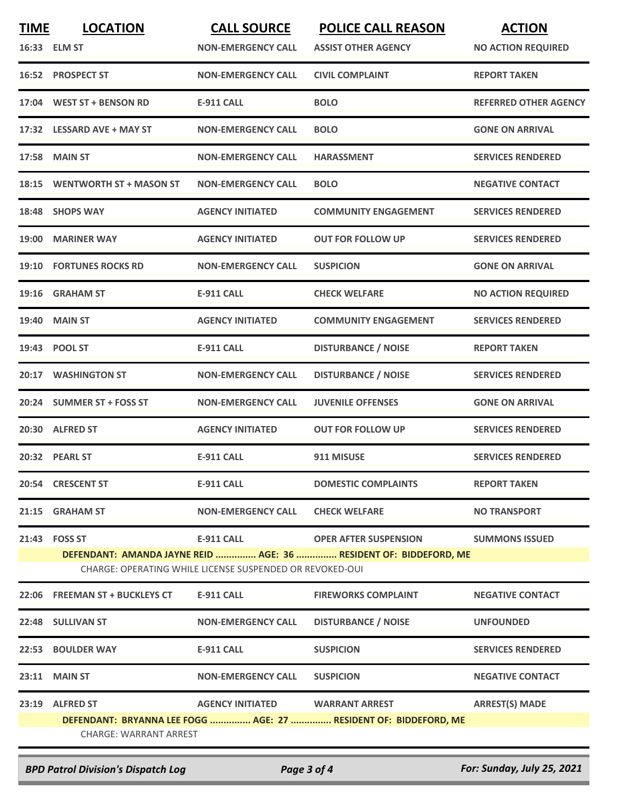| <b>TIME</b>                                                                                                                   | <b>LOCATION</b><br>16:33 ELM ST | <b>CALL SOURCE</b><br><b>NON-EMERGENCY CALL</b> | <b>POLICE CALL REASON</b><br><b>ASSIST OTHER AGENCY</b>          | <b>ACTION</b><br><b>NO ACTION REQUIRED</b> |
|-------------------------------------------------------------------------------------------------------------------------------|---------------------------------|-------------------------------------------------|------------------------------------------------------------------|--------------------------------------------|
|                                                                                                                               | 16:52 PROSPECT ST               | <b>NON-EMERGENCY CALL</b>                       | <b>CIVIL COMPLAINT</b>                                           | <b>REPORT TAKEN</b>                        |
| 17:04                                                                                                                         | <b>WEST ST + BENSON RD</b>      | <b>E-911 CALL</b>                               | <b>BOLO</b>                                                      | <b>REFERRED OTHER AGENCY</b>               |
| 17:32                                                                                                                         | <b>LESSARD AVE + MAY ST</b>     | <b>NON-EMERGENCY CALL</b>                       | <b>BOLO</b>                                                      | <b>GONE ON ARRIVAL</b>                     |
| 17:58                                                                                                                         | <b>MAIN ST</b>                  | <b>NON-EMERGENCY CALL</b>                       | <b>HARASSMENT</b>                                                | <b>SERVICES RENDERED</b>                   |
| 18:15                                                                                                                         | <b>WENTWORTH ST + MASON ST</b>  | <b>NON-EMERGENCY CALL</b>                       | <b>BOLO</b>                                                      | <b>NEGATIVE CONTACT</b>                    |
| 18:48                                                                                                                         | <b>SHOPS WAY</b>                | <b>AGENCY INITIATED</b>                         | <b>COMMUNITY ENGAGEMENT</b>                                      | <b>SERVICES RENDERED</b>                   |
| <b>19:00</b>                                                                                                                  | <b>MARINER WAY</b>              | <b>AGENCY INITIATED</b>                         | <b>OUT FOR FOLLOW UP</b>                                         | <b>SERVICES RENDERED</b>                   |
|                                                                                                                               | <b>19:10 FORTUNES ROCKS RD</b>  | <b>NON-EMERGENCY CALL</b>                       | <b>SUSPICION</b>                                                 | <b>GONE ON ARRIVAL</b>                     |
|                                                                                                                               | 19:16 GRAHAM ST                 | <b>E-911 CALL</b>                               | <b>CHECK WELFARE</b>                                             | <b>NO ACTION REQUIRED</b>                  |
| 19:40                                                                                                                         | <b>MAIN ST</b>                  | <b>AGENCY INITIATED</b>                         | <b>COMMUNITY ENGAGEMENT</b>                                      | <b>SERVICES RENDERED</b>                   |
| 19:43                                                                                                                         | <b>POOL ST</b>                  | <b>E-911 CALL</b>                               | <b>DISTURBANCE / NOISE</b>                                       | <b>REPORT TAKEN</b>                        |
| 20:17                                                                                                                         | <b>WASHINGTON ST</b>            | <b>NON-EMERGENCY CALL</b>                       | <b>DISTURBANCE / NOISE</b>                                       | <b>SERVICES RENDERED</b>                   |
|                                                                                                                               | 20:24 SUMMER ST + FOSS ST       | <b>NON-EMERGENCY CALL</b>                       | <b>JUVENILE OFFENSES</b>                                         | <b>GONE ON ARRIVAL</b>                     |
|                                                                                                                               | 20:30 ALFRED ST                 | <b>AGENCY INITIATED</b>                         | <b>OUT FOR FOLLOW UP</b>                                         | <b>SERVICES RENDERED</b>                   |
|                                                                                                                               | 20:32 PEARL ST                  | <b>E-911 CALL</b>                               | 911 MISUSE                                                       | <b>SERVICES RENDERED</b>                   |
|                                                                                                                               | 20:54 CRESCENT ST               | <b>E-911 CALL</b>                               | <b>DOMESTIC COMPLAINTS</b>                                       | <b>REPORT TAKEN</b>                        |
|                                                                                                                               | 21:15 GRAHAM ST                 | <b>NON-EMERGENCY CALL</b>                       | <b>CHECK WELFARE</b>                                             | <b>NO TRANSPORT</b>                        |
|                                                                                                                               | 21:43 FOSS ST                   | <b>E-911 CALL</b>                               | <b>OPER AFTER SUSPENSION</b>                                     | <b>SUMMONS ISSUED</b>                      |
| DEFENDANT: AMANDA JAYNE REID  AGE: 36  RESIDENT OF: BIDDEFORD, ME<br>CHARGE: OPERATING WHILE LICENSE SUSPENDED OR REVOKED-OUI |                                 |                                                 |                                                                  |                                            |
|                                                                                                                               | 22:06 FREEMAN ST + BUCKLEYS CT  | E-911 CALL                                      | <b>FIREWORKS COMPLAINT</b>                                       | <b>NEGATIVE CONTACT</b>                    |
|                                                                                                                               | 22:48 SULLIVAN ST               | <b>NON-EMERGENCY CALL</b>                       | <b>DISTURBANCE / NOISE</b>                                       | <b>UNFOUNDED</b>                           |
|                                                                                                                               | 22:53 BOULDER WAY               | <b>E-911 CALL</b>                               | <b>SUSPICION</b>                                                 | <b>SERVICES RENDERED</b>                   |
|                                                                                                                               | 23:11 MAIN ST                   | <b>NON-EMERGENCY CALL</b>                       | <b>SUSPICION</b>                                                 | <b>NEGATIVE CONTACT</b>                    |
|                                                                                                                               | 23:19 ALFRED ST                 | AGENCY INITIATED WARRANT ARREST                 |                                                                  | <b>ARREST(S) MADE</b>                      |
|                                                                                                                               | <b>CHARGE: WARRANT ARREST</b>   |                                                 | DEFENDANT: BRYANNA LEE FOGG  AGE: 27  RESIDENT OF: BIDDEFORD, ME |                                            |
|                                                                                                                               |                                 |                                                 |                                                                  |                                            |

*BPD Patrol Division's Dispatch Log Page 3 of 4 For: Sunday, July 25, 2021*